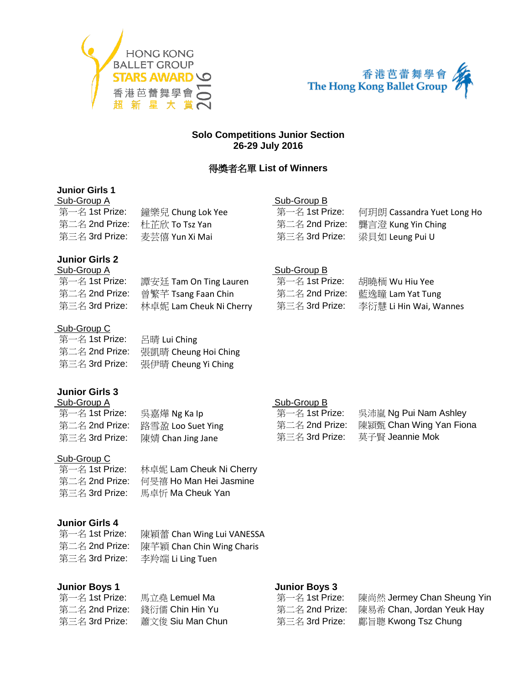



### **Solo Competitions Junior Section 26-29 July 2016**

## 得獎者名單 **List of Winners**

### **Junior Girls 1**

| Sub-Group A    |                   | Sub-Group B    |                            |
|----------------|-------------------|----------------|----------------------------|
| 第一名 1st Prize: | 鐘樂兒 Chung Lok Yee | 第一名 1st Prize: | 何玥朗 Cassandra Yuet Long Ho |
| 第二名 2nd Prize: | 杜芷欣 To Tsz Yan    | 第二名 2nd Prize: | 龔言澄 Kung Yin Ching         |
| 第三名 3rd Prize: | 麦芸僖 Yun Xi Mai    | 第三名 3rd Prize: | 梁貝如 Leung Pui U            |
|                |                   |                |                            |

#### **Junior Girls 2** Sub-Group A

| oun-oinna u    |                         |
|----------------|-------------------------|
| 第一名 1st Prize: | 譚安廷 Tam On Ting Lauren  |
| 第二名 2nd Prize: | 曾繁芊 Tsang Faan Chin     |
| 第三名 3rd Prize: | 林卓妮 Lam Cheuk Ni Cherry |

#### Sub-Group C

| 第一名 1st Prize: | 呂晴 Lui Ching         |
|----------------|----------------------|
| 第二名 2nd Prize: | 張凱晴 Cheung Hoi Ching |
| 第三名 3rd Prize: | 張伊晴 Cheung Yi Ching  |

## **Junior Girls 3**

| Sub-Group A |  |  |  |
|-------------|--|--|--|
|             |  |  |  |

| 第一名 1st Prize: | 吳嘉燁 N   |
|----------------|---------|
| 第二名 2nd Prize: | 路雪盈 Lo  |
| 第三名 3rd Prize: | 陳婧 Chai |

是嘉燁 Ng Ka Ip oo Suet Ying n Jing Jane

#### Sub-Group C

| 第一名 1st Prize: | 林卓妮 Lam Cheuk Ni Cherry |
|----------------|-------------------------|
| 第二名 2nd Prize: | 何旻禧 Ho Man Hei Jasmine  |
| 第三名 3rd Prize: | 馬卓忻 Ma Cheuk Yan        |

## **Junior Girls 4**

| 第一名 1st Prize: | 陳穎蕾 Chan Wing Lui VANESSA |
|----------------|---------------------------|
| 第二名 2nd Prize: | 陳芊穎 Chan Chin Wing Charis |
| 第三名 3rd Prize: | 李羚端 Li Ling Tuen          |

## **Junior Boys 1**

| 第一名 1st Prize: | 馬立堯 Lemuel Ma    |
|----------------|------------------|
| 第二名 2nd Prize: | 錢衍儒 Chin Hin Yu  |
| 第三名 3rd Prize: | 蕭文俊 Siu Man Chun |

#### Sub-Group B

| 第一名 1st Prize: | 胡曉栭 Wu Hiu Yee         |
|----------------|------------------------|
| 第二名 2nd Prize: | 藍逸瞳 Lam Yat Tung       |
| 第三名 3rd Prize: | 李衍慧 Li Hin Wai, Wannes |

#### Sub-Group B

| 第一名 1st Prize: | 吳沛嵐 Ng Pui Nam Ashley   |
|----------------|-------------------------|
| 第二名 2nd Prize: | 陳潁甄 Chan Wing Yan Fiona |
| 第三名 3rd Prize: | 莫子賢 Jeannie Mok         |

#### **Junior Boys 3**

| 第一名 1st Prize: |
|----------------|
| 第二名 2nd Prize: |
| 第三名 3rd Prize: |

陳尚然 Jermey Chan Sheung Yin 陳易希 Chan, Jordan Yeuk Hay **鄺旨聰 Kwong Tsz Chung**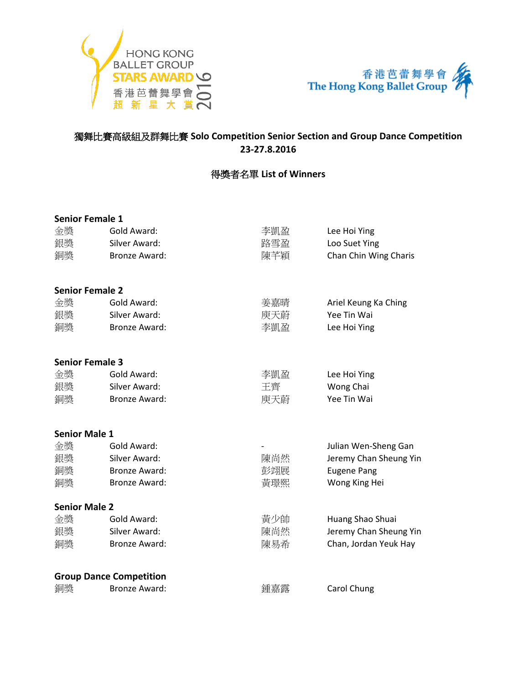



### 獨舞比賽高級組及群舞比賽 **Solo Competition Senior Section and Group Dance Competition 23-27.8.2016**

## 得獎者名單 **List of Winners**

| <b>Senior Female 1</b> |                                |     |                        |
|------------------------|--------------------------------|-----|------------------------|
| 金獎                     | Gold Award:                    | 李凱盈 | Lee Hoi Ying           |
| 銀獎                     | Silver Award:                  | 路雪盈 | Loo Suet Ying          |
| 銅獎                     | <b>Bronze Award:</b>           | 陳芊穎 | Chan Chin Wing Charis  |
| <b>Senior Female 2</b> |                                |     |                        |
| 金獎                     | Gold Award:                    | 姜嘉晴 | Ariel Keung Ka Ching   |
| 銀獎                     | Silver Award:                  | 庾天蔚 | Yee Tin Wai            |
| 銅獎                     | <b>Bronze Award:</b>           | 李凱盈 | Lee Hoi Ying           |
| <b>Senior Female 3</b> |                                |     |                        |
| 金獎                     | Gold Award:                    | 李凱盈 | Lee Hoi Ying           |
| 銀獎                     | Silver Award:                  | 王齊  | Wong Chai              |
| 銅獎                     | <b>Bronze Award:</b>           | 庾天蔚 | Yee Tin Wai            |
| <b>Senior Male 1</b>   |                                |     |                        |
| 金獎                     | Gold Award:                    |     | Julian Wen-Sheng Gan   |
| 銀獎                     | Silver Award:                  | 陳尚然 | Jeremy Chan Sheung Yin |
| 銅獎                     | <b>Bronze Award:</b>           | 彭翊展 | <b>Eugene Pang</b>     |
| 銅獎                     | <b>Bronze Award:</b>           | 黃璟熙 | Wong King Hei          |
| <b>Senior Male 2</b>   |                                |     |                        |
| 金獎                     | Gold Award:                    | 黃少帥 | Huang Shao Shuai       |
| 銀獎                     | Silver Award:                  | 陳尚然 | Jeremy Chan Sheung Yin |
| 銅獎                     | <b>Bronze Award:</b>           | 陳易希 | Chan, Jordan Yeuk Hay  |
|                        | <b>Group Dance Competition</b> |     |                        |
| 銅獎                     | <b>Bronze Award:</b>           | 鍾嘉露 | Carol Chung            |